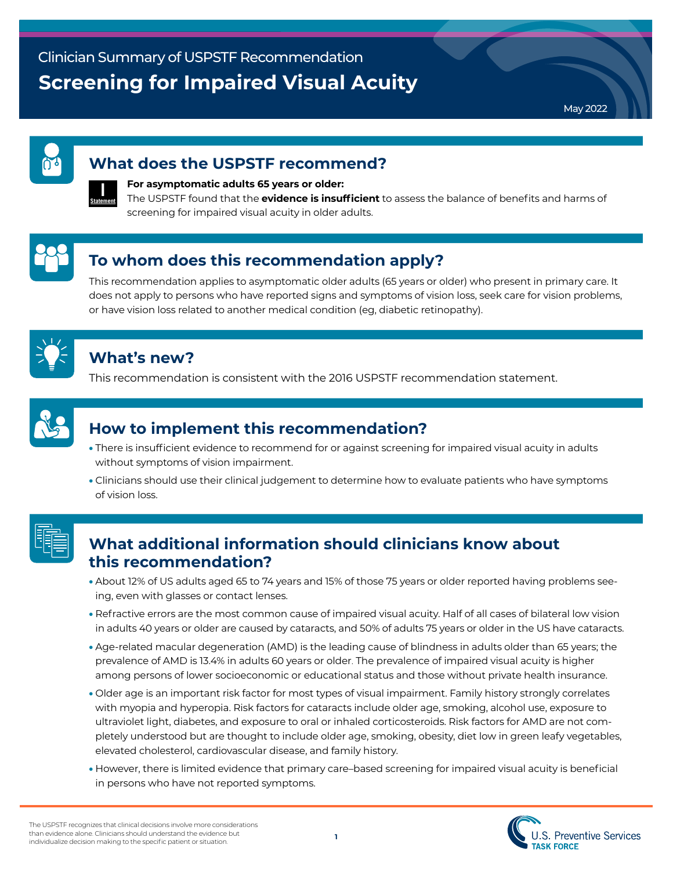May 2022

#### **What does the USPSTF recommend?**



#### **For asymptomatic adults 65 years or older:**

The USPSTF found that the **evidence is insufficient** to assess the balance of benefits and harms of screening for impaired visual acuity in older adults.

# **To whom does this recommendation apply?**

This recommendation applies to asymptomatic older adults (65 years or older) who present in primary care. It does not apply to persons who have reported signs and symptoms of vision loss, seek care for vision problems, or have vision loss related to another medical condition (eg, diabetic retinopathy).



#### **What's new?**

This recommendation is consistent with the 2016 USPSTF recommendation statement.



### **How to implement this recommendation?**

- There is insufficient evidence to recommend for or against screening for impaired visual acuity in adults without symptoms of vision impairment.
- Clinicians should use their clinical judgement to determine how to evaluate patients who have symptoms of vision loss.



### **What additional information should clinicians know about this recommendation?**

- About 12% of US adults aged 65 to 74 years and 15% of those 75 years or older reported having problems seeing, even with glasses or contact lenses.
- Refractive errors are the most common cause of impaired visual acuity. Half of all cases of bilateral low vision in adults 40 years or older are caused by cataracts, and 50% of adults 75 years or older in the US have cataracts.
- Age-related macular degeneration (AMD) is the leading cause of blindness in adults older than 65 years; the prevalence of AMD is 13.4% in adults 60 years or older. The prevalence of impaired visual acuity is higher among persons of lower socioeconomic or educational status and those without private health insurance.
- Older age is an important risk factor for most types of visual impairment. Family history strongly correlates with myopia and hyperopia. Risk factors for cataracts include older age, smoking, alcohol use, exposure to ultraviolet light, diabetes, and exposure to oral or inhaled corticosteroids. Risk factors for AMD are not completely understood but are thought to include older age, smoking, obesity, diet low in green leafy vegetables, elevated cholesterol, cardiovascular disease, and family history.
- However, there is limited evidence that primary care–based screening for impaired visual acuity is beneficial in persons who have not reported symptoms.